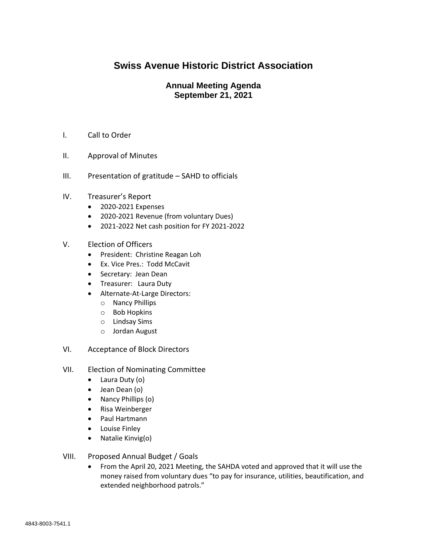## **Swiss Avenue Historic District Association**

## **Annual Meeting Agenda September 21, 2021**

- I. Call to Order
- II. Approval of Minutes
- III. Presentation of gratitude SAHD to officials
- IV. Treasurer's Report
	- 2020-2021 Expenses
	- 2020-2021 Revenue (from voluntary Dues)
	- 2021-2022 Net cash position for FY 2021-2022
- V. Election of Officers
	- President: Christine Reagan Loh
	- Ex. Vice Pres.: Todd McCavit
	- Secretary: Jean Dean
	- Treasurer: Laura Duty
	- Alternate-At-Large Directors:
		- o Nancy Phillips
		- o Bob Hopkins
		- o Lindsay Sims
		- o Jordan August
- VI. Acceptance of Block Directors
- VII. Election of Nominating Committee
	- Laura Duty (o)
	- Jean Dean (o)
	- Nancy Phillips (o)
	- Risa Weinberger
	- Paul Hartmann
	- Louise Finley
	- Natalie Kinvig(o)
- VIII. Proposed Annual Budget / Goals
	- From the April 20, 2021 Meeting, the SAHDA voted and approved that it will use the money raised from voluntary dues "to pay for insurance, utilities, beautification, and extended neighborhood patrols."